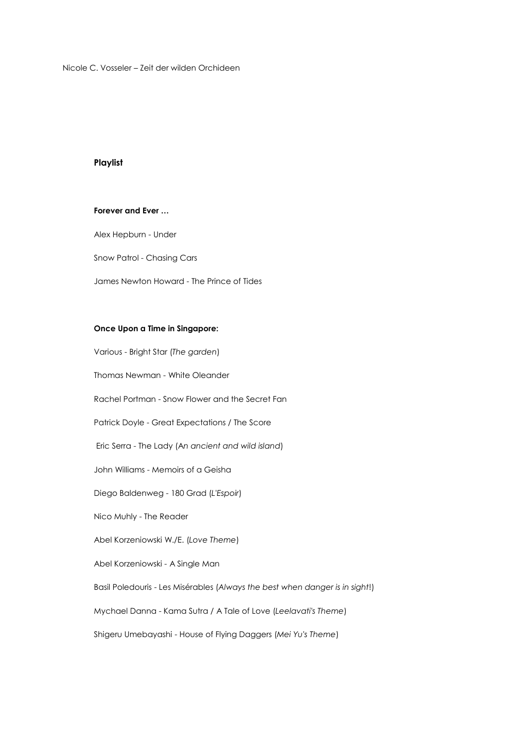Nicole C. Vosseler – Zeit der wilden Orchideen

## **Playlist**

#### **Forever and Ever …**

Alex Hepburn - Under

Snow Patrol - Chasing Cars

James Newton Howard - The Prince of Tides

### **Once Upon a Time in Singapore:**

Various - Bright Star (*The garden*) Thomas Newman - White Oleander Rachel Portman - Snow Flower and the Secret Fan Patrick Doyle - Great Expectations / The Score Eric Serra - The Lady (A*n ancient and wild island*) John Williams - Memoirs of a Geisha Diego Baldenweg - 180 Grad (*L'Espoir*) Nico Muhly - The Reader Abel Korzeniowski W./E. (*Love Theme*) Abel Korzeniowski - A Single Man Basil Poledouris - Les Misérables (*Always the best when danger is in sight*!) Mychael Danna - Kama Sutra / A Tale of Love (*Leelavati's Theme*) Shigeru Umebayashi - House of Flying Daggers (*Mei Yu's Theme*)